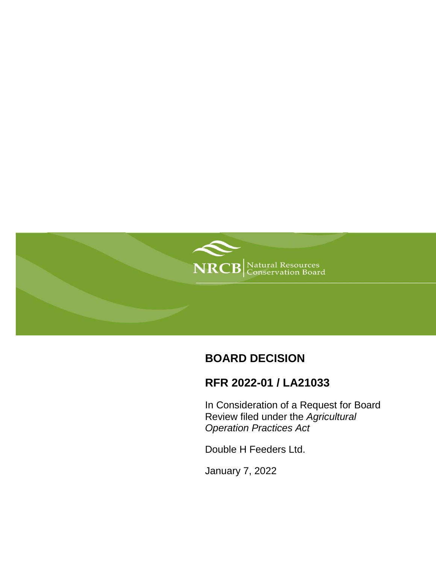

# **BOARD DECISION**

# **RFR 2022-01 / LA21033**

In Consideration of a Request for Board Review filed under the *Agricultural Operation Practices Act*

Double H Feeders Ltd.

January 7, 2022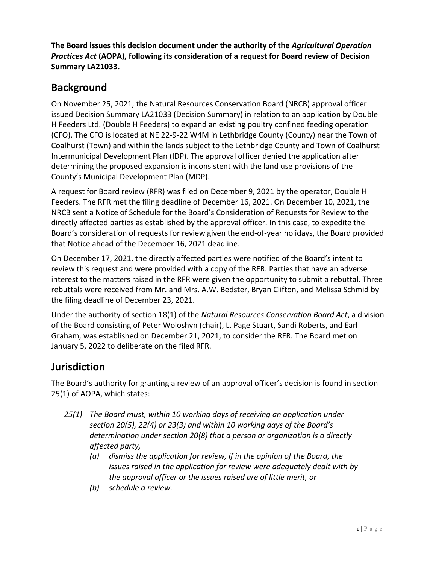**The Board issues this decision document under the authority of the** *Agricultural Operation Practices Act* **(AOPA), following its consideration of a request for Board review of Decision Summary LA21033.**

### **Background**

On November 25, 2021, the Natural Resources Conservation Board (NRCB) approval officer issued Decision Summary LA21033 (Decision Summary) in relation to an application by Double H Feeders Ltd. (Double H Feeders) to expand an existing poultry confined feeding operation (CFO). The CFO is located at NE 22-9-22 W4M in Lethbridge County (County) near the Town of Coalhurst (Town) and within the lands subject to the Lethbridge County and Town of Coalhurst Intermunicipal Development Plan (IDP). The approval officer denied the application after determining the proposed expansion is inconsistent with the land use provisions of the County's Municipal Development Plan (MDP).

A request for Board review (RFR) was filed on December 9, 2021 by the operator, Double H Feeders. The RFR met the filing deadline of December 16, 2021. On December 10, 2021, the NRCB sent a Notice of Schedule for the Board's Consideration of Requests for Review to the directly affected parties as established by the approval officer. In this case, to expedite the Board's consideration of requests for review given the end-of-year holidays, the Board provided that Notice ahead of the December 16, 2021 deadline.

On December 17, 2021, the directly affected parties were notified of the Board's intent to review this request and were provided with a copy of the RFR. Parties that have an adverse interest to the matters raised in the RFR were given the opportunity to submit a rebuttal. Three rebuttals were received from Mr. and Mrs. A.W. Bedster, Bryan Clifton, and Melissa Schmid by the filing deadline of December 23, 2021.

Under the authority of section 18(1) of the *Natural Resources Conservation Board Act*, a division of the Board consisting of Peter Woloshyn (chair), L. Page Stuart, Sandi Roberts, and Earl Graham, was established on December 21, 2021, to consider the RFR. The Board met on January 5, 2022 to deliberate on the filed RFR.

### **Jurisdiction**

The Board's authority for granting a review of an approval officer's decision is found in section 25(1) of AOPA, which states:

- *25(1) The Board must, within 10 working days of receiving an application under section 20(5), 22(4) or 23(3) and within 10 working days of the Board's determination under section 20(8) that a person or organization is a directly affected party,*
	- *(a) dismiss the application for review, if in the opinion of the Board, the issues raised in the application for review were adequately dealt with by the approval officer or the issues raised are of little merit, or*
	- *(b) schedule a review.*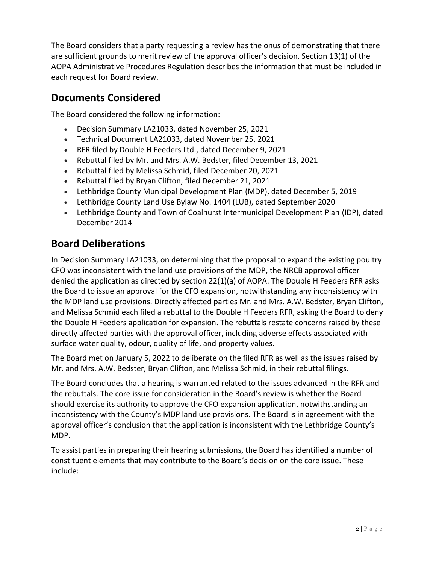The Board considers that a party requesting a review has the onus of demonstrating that there are sufficient grounds to merit review of the approval officer's decision. Section 13(1) of the AOPA Administrative Procedures Regulation describes the information that must be included in each request for Board review.

### **Documents Considered**

The Board considered the following information:

- Decision Summary LA21033, dated November 25, 2021
- Technical Document LA21033, dated November 25, 2021
- RFR filed by Double H Feeders Ltd., dated December 9, 2021
- Rebuttal filed by Mr. and Mrs. A.W. Bedster, filed December 13, 2021
- Rebuttal filed by Melissa Schmid, filed December 20, 2021
- Rebuttal filed by Bryan Clifton, filed December 21, 2021
- Lethbridge County Municipal Development Plan (MDP), dated December 5, 2019
- Lethbridge County Land Use Bylaw No. 1404 (LUB), dated September 2020
- Lethbridge County and Town of Coalhurst Intermunicipal Development Plan (IDP), dated December 2014

## **Board Deliberations**

In Decision Summary LA21033, on determining that the proposal to expand the existing poultry CFO was inconsistent with the land use provisions of the MDP, the NRCB approval officer denied the application as directed by section 22(1)(a) of AOPA. The Double H Feeders RFR asks the Board to issue an approval for the CFO expansion, notwithstanding any inconsistency with the MDP land use provisions. Directly affected parties Mr. and Mrs. A.W. Bedster, Bryan Clifton, and Melissa Schmid each filed a rebuttal to the Double H Feeders RFR, asking the Board to deny the Double H Feeders application for expansion. The rebuttals restate concerns raised by these directly affected parties with the approval officer, including adverse effects associated with surface water quality, odour, quality of life, and property values.

The Board met on January 5, 2022 to deliberate on the filed RFR as well as the issues raised by Mr. and Mrs. A.W. Bedster, Bryan Clifton, and Melissa Schmid, in their rebuttal filings.

The Board concludes that a hearing is warranted related to the issues advanced in the RFR and the rebuttals. The core issue for consideration in the Board's review is whether the Board should exercise its authority to approve the CFO expansion application, notwithstanding an inconsistency with the County's MDP land use provisions. The Board is in agreement with the approval officer's conclusion that the application is inconsistent with the Lethbridge County's MDP.

To assist parties in preparing their hearing submissions, the Board has identified a number of constituent elements that may contribute to the Board's decision on the core issue. These include: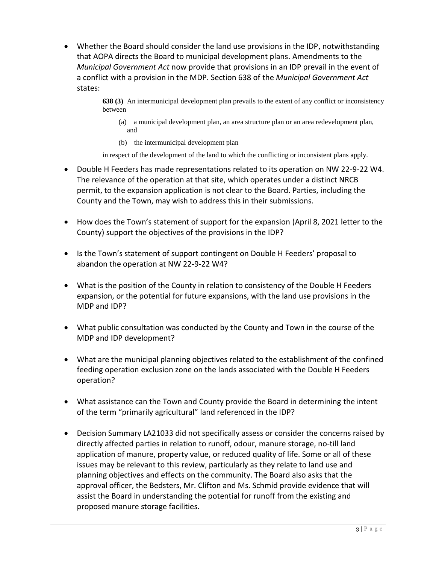Whether the Board should consider the land use provisions in the IDP, notwithstanding that AOPA directs the Board to municipal development plans. Amendments to the *Municipal Government Act* now provide that provisions in an IDP prevail in the event of a conflict with a provision in the MDP. Section 638 of the *Municipal Government Act* states:

> **638 (3)** An intermunicipal development plan prevails to the extent of any conflict or inconsistency between

- (a) a municipal development plan, an area structure plan or an area redevelopment plan, and
- (b) the intermunicipal development plan

in respect of the development of the land to which the conflicting or inconsistent plans apply.

- Double H Feeders has made representations related to its operation on NW 22-9-22 W4. The relevance of the operation at that site, which operates under a distinct NRCB permit, to the expansion application is not clear to the Board. Parties, including the County and the Town, may wish to address this in their submissions.
- How does the Town's statement of support for the expansion (April 8, 2021 letter to the County) support the objectives of the provisions in the IDP?
- Is the Town's statement of support contingent on Double H Feeders' proposal to abandon the operation at NW 22-9-22 W4?
- What is the position of the County in relation to consistency of the Double H Feeders expansion, or the potential for future expansions, with the land use provisions in the MDP and IDP?
- What public consultation was conducted by the County and Town in the course of the MDP and IDP development?
- What are the municipal planning objectives related to the establishment of the confined feeding operation exclusion zone on the lands associated with the Double H Feeders operation?
- What assistance can the Town and County provide the Board in determining the intent of the term "primarily agricultural" land referenced in the IDP?
- Decision Summary LA21033 did not specifically assess or consider the concerns raised by directly affected parties in relation to runoff, odour, manure storage, no-till land application of manure, property value, or reduced quality of life. Some or all of these issues may be relevant to this review, particularly as they relate to land use and planning objectives and effects on the community. The Board also asks that the approval officer, the Bedsters, Mr. Clifton and Ms. Schmid provide evidence that will assist the Board in understanding the potential for runoff from the existing and proposed manure storage facilities.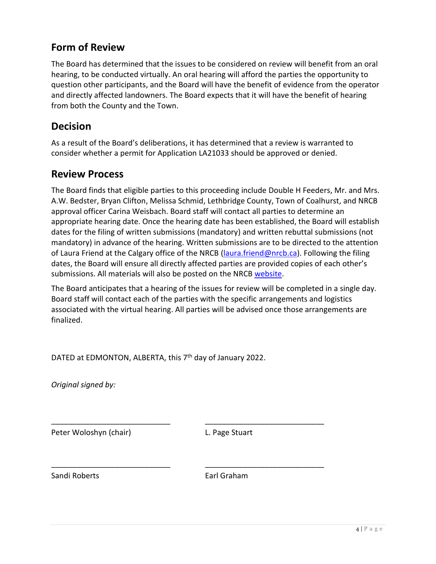### **Form of Review**

The Board has determined that the issues to be considered on review will benefit from an oral hearing, to be conducted virtually. An oral hearing will afford the parties the opportunity to question other participants, and the Board will have the benefit of evidence from the operator and directly affected landowners. The Board expects that it will have the benefit of hearing from both the County and the Town.

### **Decision**

As a result of the Board's deliberations, it has determined that a review is warranted to consider whether a permit for Application LA21033 should be approved or denied.

#### **Review Process**

The Board finds that eligible parties to this proceeding include Double H Feeders, Mr. and Mrs. A.W. Bedster, Bryan Clifton, Melissa Schmid, Lethbridge County, Town of Coalhurst, and NRCB approval officer Carina Weisbach. Board staff will contact all parties to determine an appropriate hearing date. Once the hearing date has been established, the Board will establish dates for the filing of written submissions (mandatory) and written rebuttal submissions (not mandatory) in advance of the hearing. Written submissions are to be directed to the attention of Laura Friend at the Calgary office of the NRCB [\(laura.friend@nrcb.ca\)](mailto:laura.friend@nrcb.ca). Following the filing dates, the Board will ensure all directly affected parties are provided copies of each other's submissions. All materials will also be posted on the NRCB [website.](https://www.nrcb.ca/confined-feeding-operations/board-reviews-court-decisions-revamp/current-completed-board-reviews/445/double-h-feeders-ltd)

The Board anticipates that a hearing of the issues for review will be completed in a single day. Board staff will contact each of the parties with the specific arrangements and logistics associated with the virtual hearing. All parties will be advised once those arrangements are finalized.

DATED at EDMONTON, ALBERTA, this 7<sup>th</sup> day of January 2022.

\_\_\_\_\_\_\_\_\_\_\_\_\_\_\_\_\_\_\_\_\_\_\_\_\_\_\_\_ \_\_\_\_\_\_\_\_\_\_\_\_\_\_\_\_\_\_\_\_\_\_\_\_\_\_\_\_

\_\_\_\_\_\_\_\_\_\_\_\_\_\_\_\_\_\_\_\_\_\_\_\_\_\_\_\_ \_\_\_\_\_\_\_\_\_\_\_\_\_\_\_\_\_\_\_\_\_\_\_\_\_\_\_\_

*Original signed by:*

Peter Woloshyn (chair) E. Page Stuart

Sandi Roberts **Earl Graham**